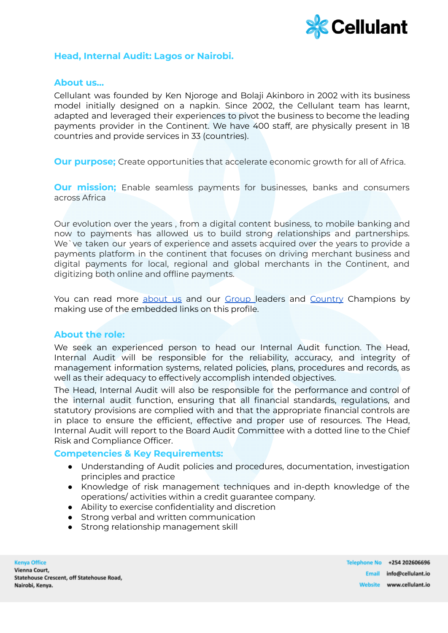

# **Head, Internal Audit: Lagos or Nairobi.**

### **About us…**

Cellulant was founded by Ken Njoroge and Bolaji Akinboro in 2002 with its business model initially designed on a napkin. Since 2002, the Cellulant team has learnt, adapted and leveraged their experiences to pivot the business to become the leading payments provider in the Continent. We have 400 staff, are physically present in 18 countries and provide services in 33 (countries).

**Our purpose;** Create opportunities that accelerate economic growth for all of Africa.

**Our mission;** Enable seamless payments for businesses, banks and consumers across Africa

Our evolution over the years , from a digital content business, to mobile banking and now to payments has allowed us to build strong relationships and partnerships. We`ve taken our years of experience and assets acquired over the years to provide a payments platform in the continent that focuses on driving merchant business and digital payments for local, regional and global merchants in the Continent, and digitizing both online and offline payments.

You can read more [about](https://cellulant.io/) us and our [Group](https://cellulant.io/our-people/) leaders and [Country](https://cellulant.io/our-people/) Champions by making use of the embedded links on this profile.

## **About the role:**

We seek an experienced person to head our Internal Audit function. The Head, Internal Audit will be responsible for the reliability, accuracy, and integrity of management information systems, related policies, plans, procedures and records, as well as their adequacy to effectively accomplish intended objectives.

The Head, Internal Audit will also be responsible for the performance and control of the internal audit function, ensuring that all financial standards, regulations, and statutory provisions are complied with and that the appropriate financial controls are in place to ensure the efficient, effective and proper use of resources. The Head, Internal Audit will report to the Board Audit Committee with a dotted line to the Chief Risk and Compliance Officer.

#### **Competencies & Key Requirements:**

- Understanding of Audit policies and procedures, documentation, investigation principles and practice
- Knowledge of risk management techniques and in-depth knowledge of the operations/ activities within a credit guarantee company.
- Ability to exercise confidentiality and discretion
- Strong verbal and written communication
- Strong relationship management skill